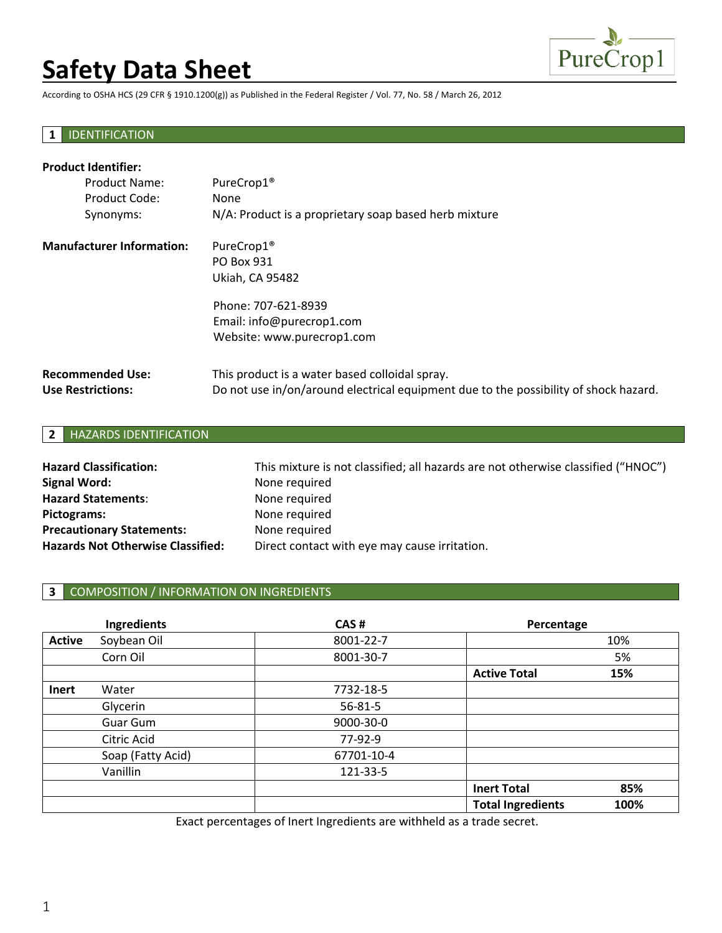# **Safety Data Sheet**



According to OSHA HCS (29 CFR § 1910.1200(g)) as Published in the Federal Register / Vol. 77, No. 58 / March 26, 2012

# **1** IDENTIFICATION

| <b>Product Identifier:</b>       |                                                                                      |  |  |  |
|----------------------------------|--------------------------------------------------------------------------------------|--|--|--|
| <b>Product Name:</b>             | PureCrop1 <sup>®</sup>                                                               |  |  |  |
| Product Code:                    | None                                                                                 |  |  |  |
| Synonyms:                        | N/A: Product is a proprietary soap based herb mixture                                |  |  |  |
| <b>Manufacturer Information:</b> | PureCrop1 <sup>®</sup>                                                               |  |  |  |
|                                  | PO Box 931                                                                           |  |  |  |
|                                  | <b>Ukiah, CA 95482</b>                                                               |  |  |  |
|                                  | Phone: 707-621-8939                                                                  |  |  |  |
|                                  | Email: info@purecrop1.com                                                            |  |  |  |
|                                  | Website: www.purecrop1.com                                                           |  |  |  |
| <b>Recommended Use:</b>          | This product is a water based colloidal spray.                                       |  |  |  |
| <b>Use Restrictions:</b>         | Do not use in/on/around electrical equipment due to the possibility of shock hazard. |  |  |  |

# **2** HAZARDS IDENTIFICATION

| <b>Hazard Classification:</b>            | This mixture is not classified; all hazards are not otherwise classified ("HNOC") |  |
|------------------------------------------|-----------------------------------------------------------------------------------|--|
| Signal Word:                             | None required                                                                     |  |
| <b>Hazard Statements:</b>                | None required                                                                     |  |
| Pictograms:                              | None required                                                                     |  |
| <b>Precautionary Statements:</b>         | None required                                                                     |  |
| <b>Hazards Not Otherwise Classified:</b> | Direct contact with eye may cause irritation.                                     |  |

# **3** COMPOSITION / INFORMATION ON INGREDIENTS

|               | Ingredients       | CAS#          | Percentage               |      |
|---------------|-------------------|---------------|--------------------------|------|
| <b>Active</b> | Soybean Oil       | 8001-22-7     |                          | 10%  |
|               | Corn Oil          | 8001-30-7     |                          | 5%   |
|               |                   |               | <b>Active Total</b>      | 15%  |
| <b>Inert</b>  | Water             | 7732-18-5     |                          |      |
|               | Glycerin          | $56 - 81 - 5$ |                          |      |
|               | Guar Gum          | 9000-30-0     |                          |      |
|               | Citric Acid       | 77-92-9       |                          |      |
|               | Soap (Fatty Acid) | 67701-10-4    |                          |      |
|               | Vanillin          | 121-33-5      |                          |      |
|               |                   |               | <b>Inert Total</b>       | 85%  |
|               |                   |               | <b>Total Ingredients</b> | 100% |

Exact percentages of Inert Ingredients are withheld as a trade secret.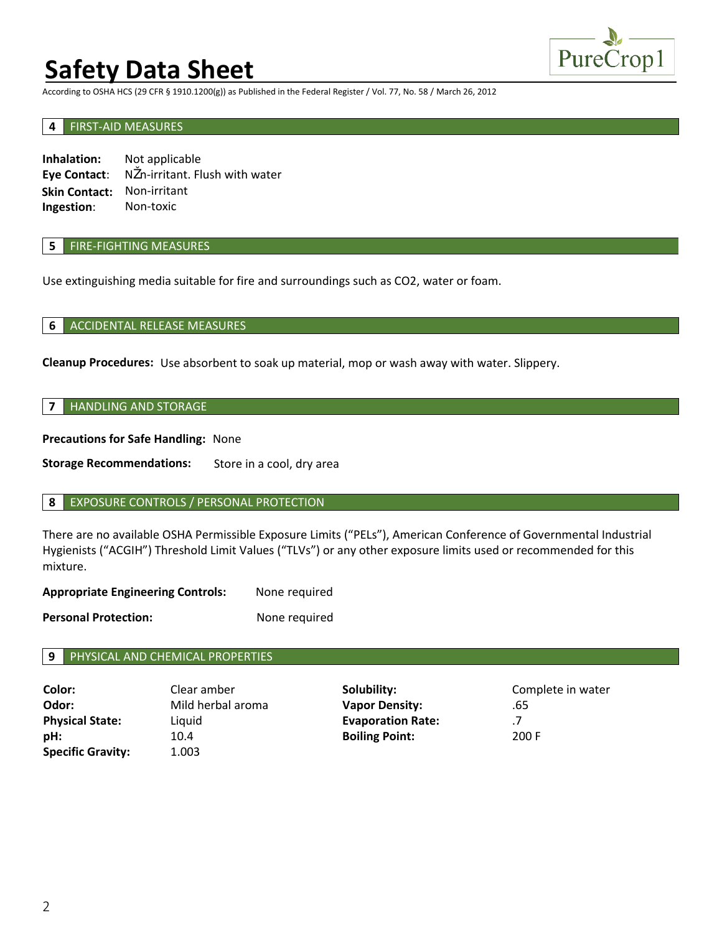# **Safety Data Sheet**



According to OSHA HCS (29 CFR § 1910.1200(g)) as Published in the Federal Register / Vol. 77, No. 58 / March 26, 2012

#### **4** FIRST-AID MEASURES

**Inhalation: Eye Contact**: Not applicable N n-irritant. Flush with water **Skin Contact:** Non-irritant Non-toxic **Ingestion**:

### **5** FIRE-FIGHTING MEASURES

Use extinguishing media suitable for fire and surroundings such as CO2, water or foam.

#### **6** ACCIDENTAL RELEASE MEASURES

**Cleanup Procedures:** Use absorbent to soak up material, mop or wash away with water. Slippery.

### **7** HANDLING AND STORAGE

**Precautions for Safe Handling:** None

**Storage Recommendations:** Store in a cool, dry area

#### **8** EXPOSURE CONTROLS / PERSONAL PROTECTION

There are no available OSHA Permissible Exposure Limits ("PELs"), American Conference of Governmental Industrial Hygienists ("ACGIH") Threshold Limit Values ("TLVs") or any other exposure limits used or recommended for this mixture.

**Appropriate Engineering Controls:**  None required

**Personal Protection:** None required

#### **9** PHYSICAL AND CHEMICAL PROPERTIES

| Color:                   | Clear amber       | Solubility:              | Complete in water |
|--------------------------|-------------------|--------------------------|-------------------|
| Odor:                    | Mild herbal aroma | <b>Vapor Density:</b>    | .65               |
| <b>Physical State:</b>   | Liquid            | <b>Evaporation Rate:</b> | .7                |
| pH:                      | 10.4              | <b>Boiling Point:</b>    | 200 F             |
| <b>Specific Gravity:</b> | 1.003             |                          |                   |